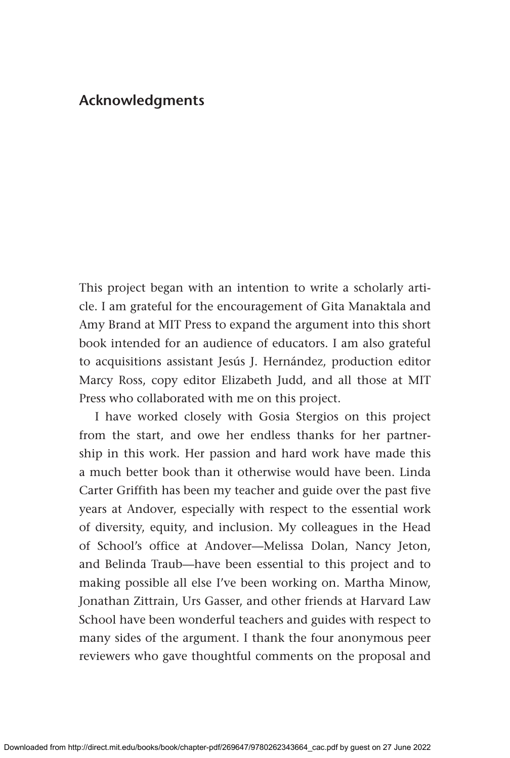## **Acknowledgments**

This project began with an intention to write a scholarly article. I am grateful for the encouragement of Gita Manaktala and Amy Brand at MIT Press to expand the argument into this short book intended for an audience of educators. I am also grateful to acquisitions assistant Jesús J. Hernández, production editor Marcy Ross, copy editor Elizabeth Judd, and all those at MIT Press who collaborated with me on this project.

I have worked closely with Gosia Stergios on this project from the start, and owe her endless thanks for her partnership in this work. Her passion and hard work have made this a much better book than it otherwise would have been. Linda Carter Griffith has been my teacher and guide over the past five years at Andover, especially with respect to the essential work of diversity, equity, and inclusion. My colleagues in the Head of School's office at Andover—Melissa Dolan, Nancy Jeton, and Belinda Traub—have been essential to this project and to making possible all else I've been working on. Martha Minow, Jonathan Zittrain, Urs Gasser, and other friends at Harvard Law School have been wonderful teachers and guides with respect to many sides of the argument. I thank the four anonymous peer reviewers who gave thoughtful comments on the proposal and